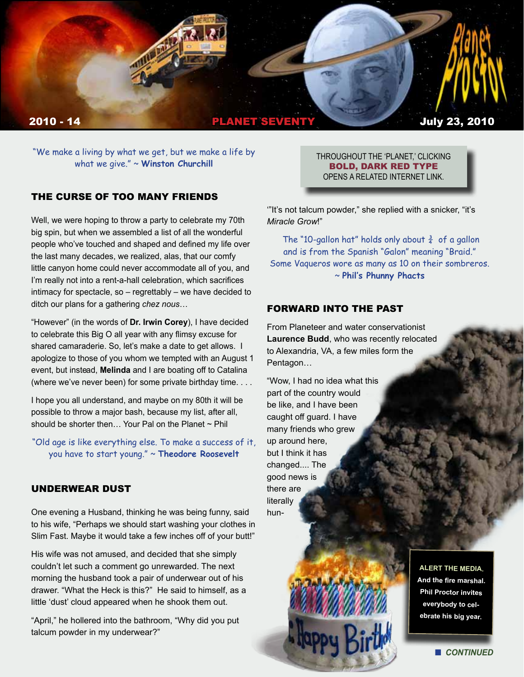

"We make a living by what we get, but we make a life by what we give." ~ **Winston Churchill**

# THE CURSE OF TOO MANY FRIENDS

Well, we were hoping to throw a party to celebrate my 70th big spin, but when we assembled a list of all the wonderful people who've touched and shaped and defined my life over the last many decades, we realized, alas, that our comfy little canyon home could never accommodate all of you, and I'm really not into a rent-a-hall celebration, which sacrifices intimacy for spectacle, so – regrettably – we have decided to ditch our plans for a gathering *chez nous*…

"However" (in the words of **Dr. Irwin Corey**), I have decided to celebrate this Big O all year with any flimsy excuse for shared camaraderie. So, let's make a date to get allows. I apologize to those of you whom we tempted with an August 1 event, but instead, **Melinda** and I are boating off to Catalina (where we've never been) for some private birthday time. . . .

I hope you all understand, and maybe on my 80th it will be possible to throw a major bash, because my list, after all, should be shorter then... Your Pal on the Planet ~ Phil

"Old age is like everything else. To make a success of it, you have to start young." ~ **Theodore Roosevelt**

#### UNDERWEAR DUST

One evening a Husband, thinking he was being funny, said to his wife, "Perhaps we should start washing your clothes in Slim Fast. Maybe it would take a few inches off of your butt!"

His wife was not amused, and decided that she simply couldn't let such a comment go unrewarded. The next morning the husband took a pair of underwear out of his drawer. "What the Heck is this?" He said to himself, as a little 'dust' cloud appeared when he shook them out.

"April," he hollered into the bathroom, "Why did you put talcum powder in my underwear?"

THROUGHOUT THE 'PLANET,' CLICKING BOLD, DARK RED TYPE OPENS A RELATED INTERNET LINK.

'"It's not talcum powder," she replied with a snicker, "it's *Miracle Grow*!"

The "10-gallon hat" holds only about  $\frac{3}{4}$  of a gallon and is from the Spanish "Galon" meaning "Braid." Some Vaqueros wore as many as 10 on their sombreros. ~ **Phil's Phunny Phacts**

### FORWARD INTO THE PAST

From Planeteer and water conservationist **Laurence Budd**, who was recently relocated to Alexandria, VA, a few miles form the Pentagon…

"Wow, I had no idea what this part of the country would be like, and I have been caught off guard. I have many friends who grew up around here, but I think it has changed.... The good news is there are literally hun-

> **ALERT THE MEDIA. And the fire marshal. Phil Proctor invites everybody to celebrate his big year.**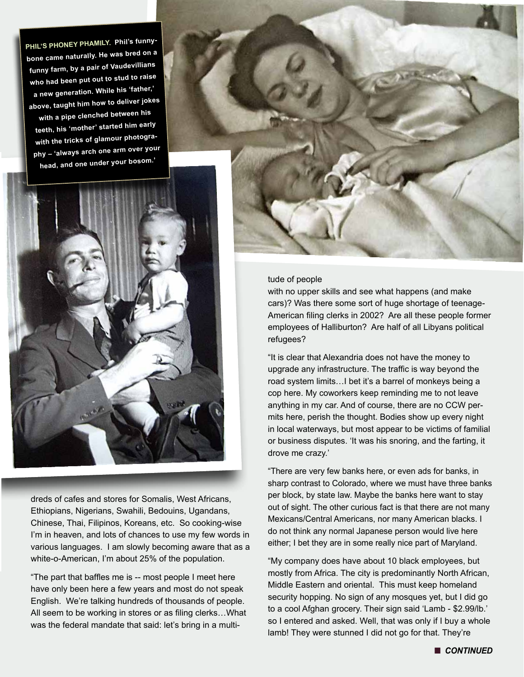**PHIL'S PHONEY PHAMILY. Phil's funnybone came naturally. He was bred on a funny farm, by a pair of Vaudevillians who had been put out to stud to raise a new generation. While his 'father,' above, taught him how to deliver jokes with a pipe clenched between his teeth, his 'mother' started him early with the tricks of glamour photography – 'always arch one arm over your** 



dreds of cafes and stores for Somalis, West Africans, Ethiopians, Nigerians, Swahili, Bedouins, Ugandans, Chinese, Thai, Filipinos, Koreans, etc. So cooking-wise I'm in heaven, and lots of chances to use my few words in various languages. I am slowly becoming aware that as a white-o-American, I'm about 25% of the population.

"The part that baffles me is -- most people I meet here have only been here a few years and most do not speak English. We're talking hundreds of thousands of people. All seem to be working in stores or as filing clerks…What was the federal mandate that said: let's bring in a multi-



#### tude of people

with no upper skills and see what happens (and make cars)? Was there some sort of huge shortage of teenage-American filing clerks in 2002? Are all these people former employees of Halliburton? Are half of all Libyans political refugees?

"It is clear that Alexandria does not have the money to upgrade any infrastructure. The traffic is way beyond the road system limits…I bet it's a barrel of monkeys being a cop here. My coworkers keep reminding me to not leave anything in my car. And of course, there are no CCW permits here, perish the thought. Bodies show up every night in local waterways, but most appear to be victims of familial or business disputes. 'It was his snoring, and the farting, it drove me crazy.'

"There are very few banks here, or even ads for banks, in sharp contrast to Colorado, where we must have three banks per block, by state law. Maybe the banks here want to stay out of sight. The other curious fact is that there are not many Mexicans/Central Americans, nor many American blacks. I do not think any normal Japanese person would live here either; I bet they are in some really nice part of Maryland.

"My company does have about 10 black employees, but mostly from Africa. The city is predominantly North African, Middle Eastern and oriental. This must keep homeland security hopping. No sign of any mosques yet, but I did go to a cool Afghan grocery. Their sign said 'Lamb - \$2.99/lb.' so I entered and asked. Well, that was only if I buy a whole lamb! They were stunned I did not go for that. They're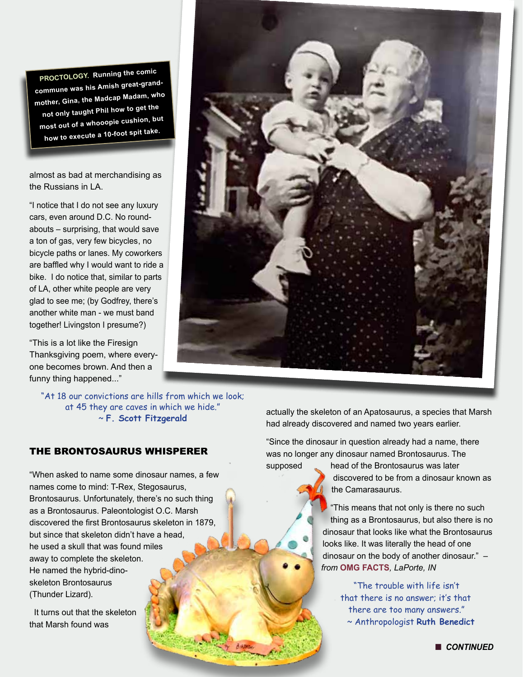**PROCTOLOGY. Running the comic commune was his Amish great-grandmother, Gina, the Madcap Madam, who not only taught Phil how to get the most out of a whooopie cushion, but how to execute a 10-foot spit take.**

almost as bad at merchandising as the Russians in LA.

"I notice that I do not see any luxury cars, even around D.C. No roundabouts – surprising, that would save a ton of gas, very few bicycles, no bicycle paths or lanes. My coworkers are baffled why I would want to ride a bike. I do notice that, similar to parts of LA, other white people are very glad to see me; (by Godfrey, there's another white man - we must band together! Livingston I presume?)

"This is a lot like the Firesign Thanksgiving poem, where everyone becomes brown. And then a funny thing happened..."

"At 18 our convictions are hills from which we look; at 45 they are caves in which we hide." ~ **F. Scott Fitzgerald**

# THE BRONTOSAURUS WHISPERER

"When asked to name some dinosaur names, a few names come to mind: T-Rex, Stegosaurus, Brontosaurus. Unfortunately, there's no such thing as a Brontosaurus. Paleontologist O.C. Marsh discovered the first Brontosaurus skeleton in 1879, but since that skeleton didn't have a head, he used a skull that was found miles away to complete the skeleton. He named the hybrid-dinoskeleton Brontosaurus (Thunder Lizard).

It turns out that the skeleton that Marsh found was



actually the skeleton of an Apatosaurus, a species that Marsh had already discovered and named two years earlier.

"Since the dinosaur in question already had a name, there was no longer any dinosaur named Brontosaurus. The supposed head of the Brontosaurus was later

discovered to be from a dinosaur known as the Camarasaurus.

"This means that not only is there no such thing as a Brontosaurus, but also there is no dinosaur that looks like what the Brontosaurus looks like. It was literally the head of one dinosaur on the body of another dinosaur." – *from* **OMG FACTS***, LaPorte, IN*

"The trouble with life isn't that there is no answer; it's that there are too many answers." ~ Anthropologist **Ruth Benedict**

**n** CONTINUED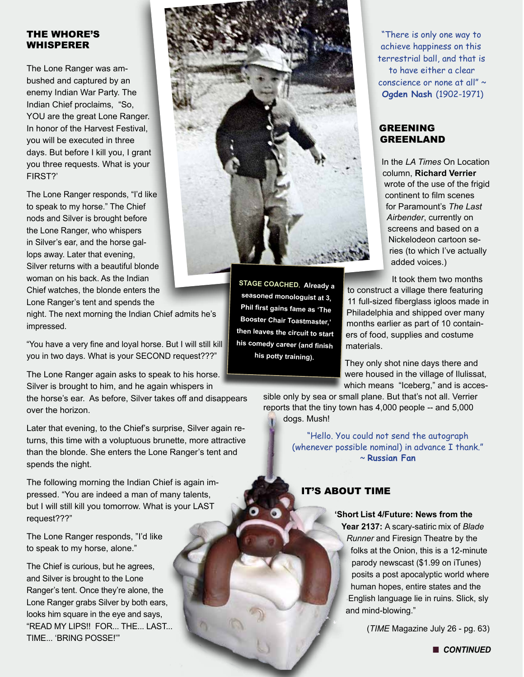## THE WHORE'S **WHISPERER**

The Lone Ranger was ambushed and captured by an enemy Indian War Party. The Indian Chief proclaims, "So, YOU are the great Lone Ranger. In honor of the Harvest Festival, you will be executed in three days. But before I kill you, I grant you three requests. What is your FIRST?'

The Lone Ranger responds, "I'd like to speak to my horse." The Chief nods and Silver is brought before the Lone Ranger, who whispers in Silver's ear, and the horse gallops away. Later that evening, Silver returns with a beautiful blonde woman on his back. As the Indian Chief watches, the blonde enters the Lone Ranger's tent and spends the

night. The next morning the Indian Chief admits he's impressed.

"You have a very fine and loyal horse. But I will still kill you in two days. What is your SECOND request???"

The Lone Ranger again asks to speak to his horse. Silver is brought to him, and he again whispers in

the horse's ear. As before, Silver takes off and disappears over the horizon.

Later that evening, to the Chief's surprise, Silver again returns, this time with a voluptuous brunette, more attractive than the blonde. She enters the Lone Ranger's tent and spends the night.

The following morning the Indian Chief is again impressed. "You are indeed a man of many talents, but I will still kill you tomorrow. What is your LAST request???"

The Lone Ranger responds, "I'd like to speak to my horse, alone."

The Chief is curious, but he agrees, and Silver is brought to the Lone Ranger's tent. Once they're alone, the Lone Ranger grabs Silver by both ears, looks him square in the eye and says, "READ MY LIPS!! FOR... THE... LAST... TIME... 'BRING POSSE!'"



**STAGE COACHED. Already a seasoned monologuist at 3, Phil first gains fame as 'The Booster Chair Toastmaster,' then leaves the circuit to start his comedy career (and finish his potty training).** 

 "There is only one way to achieve happiness on this terrestrial ball, and that is to have either a clear conscience or none at all" ~ **Ogden Nash** (1902-1971)

#### GREENING GREENLAND

In the *LA Times* On Location column, **Richard Verrier** wrote of the use of the frigid continent to film scenes for Paramount's *The Last Airbender*, currently on screens and based on a Nickelodeon cartoon series (to which I've actually added voices.)

It took them two months to construct a village there featuring 11 full-sized fiberglass igloos made in Philadelphia and shipped over many months earlier as part of 10 containers of food, supplies and costume materials.

They only shot nine days there and were housed in the village of Ilulissat, which means "Iceberg," and is acces-

sible only by sea or small plane. But that's not all. Verrier reports that the tiny town has 4,000 people -- and 5,000 dogs. Mush!

> "Hello. You could not send the autograph (whenever possible nominal) in advance I thank." ~ **Russian Fan**

# IT'S ABOUT TIME

#### **'Short List 4/Future: News from the**

**Year 2137:** A scary-satiric mix of *Blade Runner* and Firesign Theatre by the folks at the Onion, this is a 12-minute parody newscast (\$1.99 on iTunes) posits a post apocalyptic world where human hopes, entire states and the English language lie in ruins. Slick, sly and mind-blowing."

(*TIME* Magazine July 26 - pg. 63)